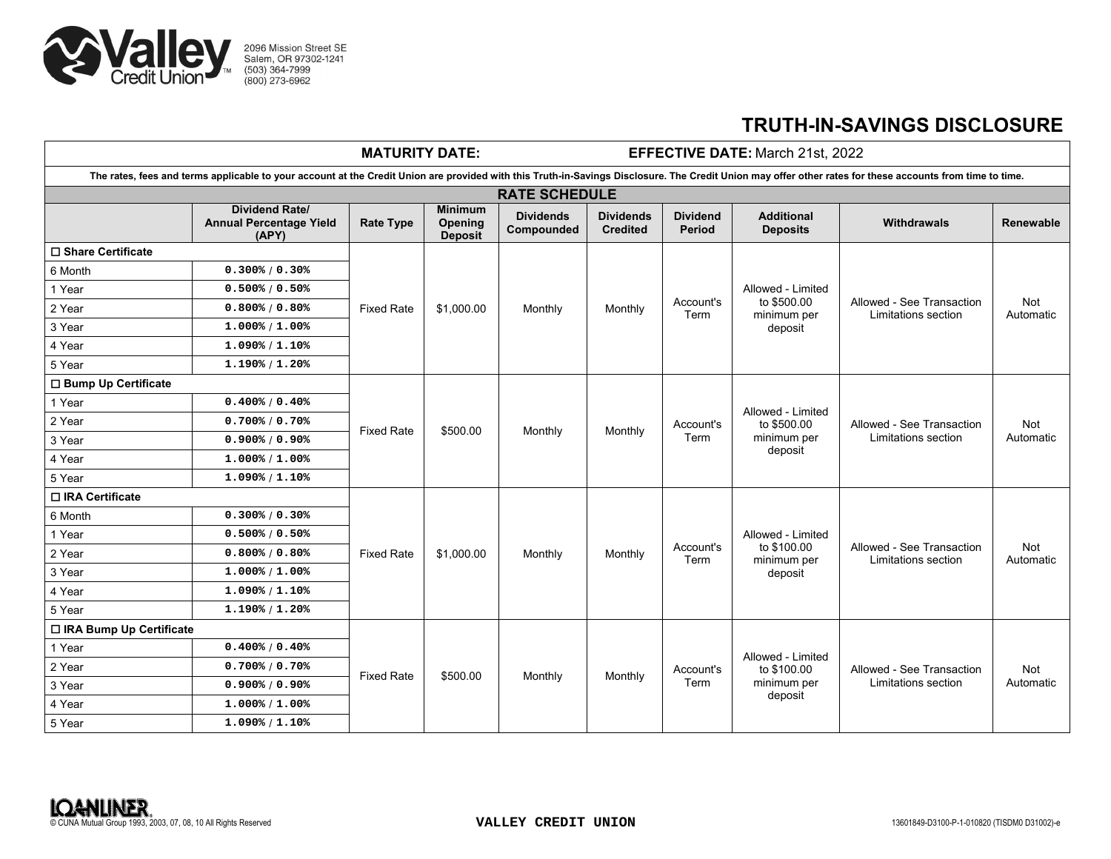

## **TRUTH-IN-SAVINGS DISCLOSURE**

| <b>MATURITY DATE:</b>                                                                                                                                                                                     |                                                                  |                   |                                             | EFFECTIVE DATE: March 21st, 2022 |                                     |                           |                                                            |                                                  |                  |
|-----------------------------------------------------------------------------------------------------------------------------------------------------------------------------------------------------------|------------------------------------------------------------------|-------------------|---------------------------------------------|----------------------------------|-------------------------------------|---------------------------|------------------------------------------------------------|--------------------------------------------------|------------------|
| The rates, fees and terms applicable to your account at the Credit Union are provided with this Truth-in-Savings Disclosure. The Credit Union may offer other rates for these accounts from time to time. |                                                                  |                   |                                             |                                  |                                     |                           |                                                            |                                                  |                  |
| <b>RATE SCHEDULE</b>                                                                                                                                                                                      |                                                                  |                   |                                             |                                  |                                     |                           |                                                            |                                                  |                  |
|                                                                                                                                                                                                           | <b>Dividend Rate/</b><br><b>Annual Percentage Yield</b><br>(APY) | <b>Rate Type</b>  | <b>Minimum</b><br>Opening<br><b>Deposit</b> | <b>Dividends</b><br>Compounded   | <b>Dividends</b><br><b>Credited</b> | <b>Dividend</b><br>Period | <b>Additional</b><br><b>Deposits</b>                       | <b>Withdrawals</b>                               | <b>Renewable</b> |
| □ Share Certificate                                                                                                                                                                                       |                                                                  |                   |                                             |                                  |                                     |                           |                                                            |                                                  |                  |
| 6 Month                                                                                                                                                                                                   | 0.300% / 0.30%                                                   | <b>Fixed Rate</b> | \$1,000.00                                  | Monthly                          | Monthly                             | Account's<br>Term         | Allowed - Limited<br>to \$500.00<br>minimum per<br>deposit | Allowed - See Transaction<br>Limitations section | Not<br>Automatic |
| 1 Year                                                                                                                                                                                                    | 0.500% / 0.50%                                                   |                   |                                             |                                  |                                     |                           |                                                            |                                                  |                  |
| 2 Year                                                                                                                                                                                                    | 0.800% / 0.80%                                                   |                   |                                             |                                  |                                     |                           |                                                            |                                                  |                  |
| 3 Year                                                                                                                                                                                                    | $1.000\frac{1}{6}$ / 1.00%                                       |                   |                                             |                                  |                                     |                           |                                                            |                                                  |                  |
| 4 Year                                                                                                                                                                                                    | $1.090\%$ / $1.10\%$                                             |                   |                                             |                                  |                                     |                           |                                                            |                                                  |                  |
| 5 Year                                                                                                                                                                                                    | 1.190% / 1.20%                                                   |                   |                                             |                                  |                                     |                           |                                                            |                                                  |                  |
| □ Bump Up Certificate                                                                                                                                                                                     |                                                                  |                   |                                             |                                  |                                     |                           |                                                            |                                                  |                  |
| 1 Year                                                                                                                                                                                                    | 0.400% / 0.40%                                                   | <b>Fixed Rate</b> | \$500.00                                    | Monthly                          | Monthly                             | Account's<br>Term         | Allowed - Limited<br>to \$500.00<br>minimum per<br>deposit | Allowed - See Transaction<br>Limitations section | Not<br>Automatic |
| 2 Year                                                                                                                                                                                                    | 0.700% / 0.70%                                                   |                   |                                             |                                  |                                     |                           |                                                            |                                                  |                  |
| 3 Year                                                                                                                                                                                                    | $0.900\%$ / $0.90\%$                                             |                   |                                             |                                  |                                     |                           |                                                            |                                                  |                  |
| 4 Year                                                                                                                                                                                                    | $1.000\frac{1}{6}$ / 1.00%                                       |                   |                                             |                                  |                                     |                           |                                                            |                                                  |                  |
| 5 Year                                                                                                                                                                                                    | $1.090\frac{1}{1.10\%}$                                          |                   |                                             |                                  |                                     |                           |                                                            |                                                  |                  |
| □ IRA Certificate                                                                                                                                                                                         |                                                                  |                   |                                             |                                  |                                     |                           |                                                            |                                                  |                  |
| 6 Month                                                                                                                                                                                                   | 0.300% / 0.30%                                                   | <b>Fixed Rate</b> | \$1,000.00                                  | Monthly                          | Monthly                             | Account's<br>Term         | Allowed - Limited<br>to \$100.00<br>minimum per<br>deposit | Allowed - See Transaction<br>Limitations section | Not<br>Automatic |
| 1 Year                                                                                                                                                                                                    | 0.500% / 0.50%                                                   |                   |                                             |                                  |                                     |                           |                                                            |                                                  |                  |
| 2 Year                                                                                                                                                                                                    | 0.800% / 0.80%                                                   |                   |                                             |                                  |                                     |                           |                                                            |                                                  |                  |
| 3 Year                                                                                                                                                                                                    | $1.000\frac{2}{3}$ / 1.00%                                       |                   |                                             |                                  |                                     |                           |                                                            |                                                  |                  |
| 4 Year                                                                                                                                                                                                    | $1.090\frac{1}{1.10\%}$                                          |                   |                                             |                                  |                                     |                           |                                                            |                                                  |                  |
| 5 Year                                                                                                                                                                                                    | $1.190\frac{8}{1.20\%}$                                          |                   |                                             |                                  |                                     |                           |                                                            |                                                  |                  |
| □ IRA Bump Up Certificate                                                                                                                                                                                 |                                                                  |                   |                                             |                                  |                                     |                           |                                                            |                                                  |                  |
| 1 Year                                                                                                                                                                                                    | 0.400% / 0.40%                                                   | <b>Fixed Rate</b> | \$500.00                                    | Monthly                          | Monthly                             | Account's<br>Term         | Allowed - Limited<br>to \$100.00<br>minimum per<br>deposit | Allowed - See Transaction<br>Limitations section | Not<br>Automatic |
| 2 Year                                                                                                                                                                                                    | 0.700% / 0.70%                                                   |                   |                                             |                                  |                                     |                           |                                                            |                                                  |                  |
| 3 Year                                                                                                                                                                                                    | $0.900\%$ / 0.90%                                                |                   |                                             |                                  |                                     |                           |                                                            |                                                  |                  |
| 4 Year                                                                                                                                                                                                    | $1.000\frac{1}{6}$ / $1.00\frac{1}{6}$                           |                   |                                             |                                  |                                     |                           |                                                            |                                                  |                  |
| 5 Year                                                                                                                                                                                                    | $1.090\frac{1}{1.10\%}$                                          |                   |                                             |                                  |                                     |                           |                                                            |                                                  |                  |